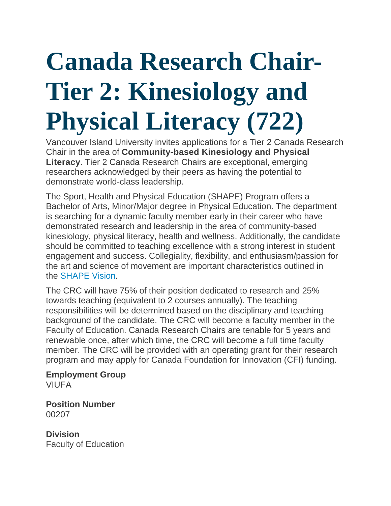# **Canada Research Chair-Tier 2: Kinesiology and Physical Literacy (722)**

Vancouver Island University invites applications for a Tier 2 Canada Research Chair in the area of **Community-based Kinesiology and Physical Literacy**. Tier 2 Canada Research Chairs are exceptional, emerging researchers acknowledged by their peers as having the potential to demonstrate world-class leadership.

The Sport, Health and Physical Education (SHAPE) Program offers a Bachelor of Arts, Minor/Major degree in Physical Education. The department is searching for a dynamic faculty member early in their career who have demonstrated research and leadership in the area of community-based kinesiology, physical literacy, health and wellness. Additionally, the candidate should be committed to teaching excellence with a strong interest in student engagement and success. Collegiality, flexibility, and enthusiasm/passion for the art and science of movement are important characteristics outlined in the [SHAPE Vision.](https://education.viu.ca/SHAPE)

The CRC will have 75% of their position dedicated to research and 25% towards teaching (equivalent to 2 courses annually). The teaching responsibilities will be determined based on the disciplinary and teaching background of the candidate. The CRC will become a faculty member in the Faculty of Education. Canada Research Chairs are tenable for 5 years and renewable once, after which time, the CRC will become a full time faculty member. The CRC will be provided with an operating grant for their research program and may apply for Canada Foundation for Innovation (CFI) funding.

**Employment Group VIUFA** 

**Position Number** 00207

**Division** Faculty of Education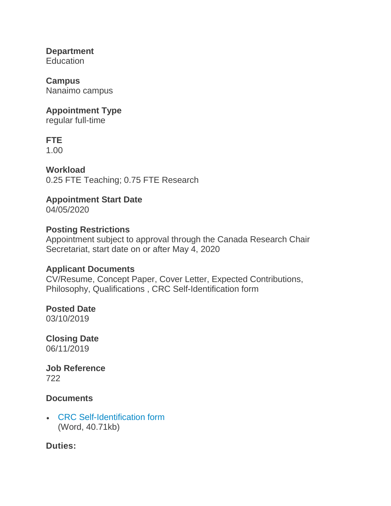**Department** Education

**Campus** Nanaimo campus

#### **Appointment Type**

regular full-time

# **FTE**

1.00

**Workload** 0.25 FTE Teaching; 0.75 FTE Research

# **Appointment Start Date**

04/05/2020

#### **Posting Restrictions**

Appointment subject to approval through the Canada Research Chair Secretariat, start date on or after May 4, 2020

#### **Applicant Documents**

CV/Resume, Concept Paper, Cover Letter, Expected Contributions, Philosophy, Qualifications , CRC Self-Identification form

# **Posted Date**

03/10/2019

**Closing Date** 06/11/2019

**Job Reference** 722

#### **Documents**

• [CRC Self-Identification form](https://careers.viu.ca/intranet/wd_portal.view_blob?p_web_site_id=100017&p_web_page_id=345918&p_type=JOBDOC&p_id=167484&p_show=N) (Word, 40.71kb)

## **Duties:**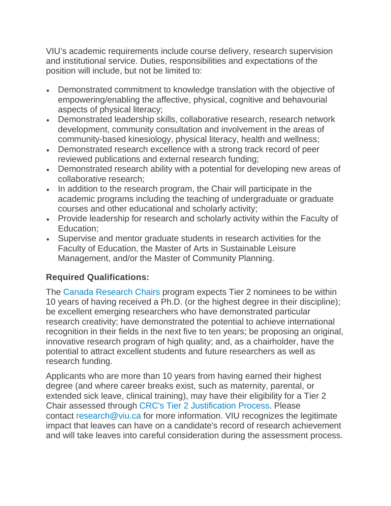VIU's academic requirements include course delivery, research supervision and institutional service. Duties, responsibilities and expectations of the position will include, but not be limited to:

- Demonstrated commitment to knowledge translation with the objective of empowering/enabling the affective, physical, cognitive and behavourial aspects of physical literacy;
- Demonstrated leadership skills, collaborative research, research network development, community consultation and involvement in the areas of community-based kinesiology, physical literacy, health and wellness;
- Demonstrated research excellence with a strong track record of peer reviewed publications and external research funding;
- Demonstrated research ability with a potential for developing new areas of collaborative research;
- In addition to the research program, the Chair will participate in the academic programs including the teaching of undergraduate or graduate courses and other educational and scholarly activity;
- Provide leadership for research and scholarly activity within the Faculty of Education;
- Supervise and mentor graduate students in research activities for the Faculty of Education, the Master of Arts in Sustainable Leisure Management, and/or the Master of Community Planning.

# **Required Qualifications:**

The [Canada Research Chairs](http://www.chairs-chaires.gc.ca/program-programme/nomination-mise_en_candidature-eng.aspx) program expects Tier 2 nominees to be within 10 years of having received a Ph.D. (or the highest degree in their discipline); be excellent emerging researchers who have demonstrated particular research creativity; have demonstrated the potential to achieve international recognition in their fields in the next five to ten years; be proposing an original, innovative research program of high quality; and, as a chairholder, have the potential to attract excellent students and future researchers as well as research funding.

Applicants who are more than 10 years from having earned their highest degree (and where career breaks exist, such as maternity, parental, or extended sick leave, clinical training), may have their eligibility for a Tier 2 Chair assessed through [CRC's Tier 2 Justification Process.](http://www.chairs-chaires.gc.ca/program-programme/nomination-mise_en_candidature-eng.aspx#s3) Please contact [research@viu.ca](mailto:research@viu.ca) for more information. VIU recognizes the legitimate impact that leaves can have on a candidate's record of research achievement and will take leaves into careful consideration during the assessment process.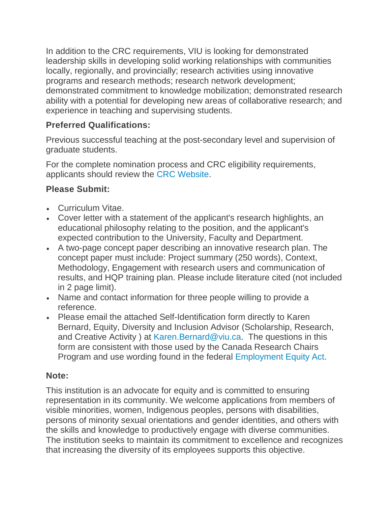In addition to the CRC requirements, VIU is looking for demonstrated leadership skills in developing solid working relationships with communities locally, regionally, and provincially; research activities using innovative programs and research methods; research network development; demonstrated commitment to knowledge mobilization; demonstrated research ability with a potential for developing new areas of collaborative research; and experience in teaching and supervising students.

#### **Preferred Qualifications:**

Previous successful teaching at the post-secondary level and supervision of graduate students.

For the complete nomination process and CRC eligibility requirements, applicants should review the [CRC Website.](http://www.chairs-chaires.gc.ca/program-programme/nomination-mise_en_candidature-eng.aspx#selection/)

# **Please Submit:**

- Curriculum Vitae.
- Cover letter with a statement of the applicant's research highlights, an educational philosophy relating to the position, and the applicant's expected contribution to the University, Faculty and Department.
- A two-page concept paper describing an innovative research plan. The concept paper must include: Project summary (250 words), Context, Methodology, Engagement with research users and communication of results, and HQP training plan. Please include literature cited (not included in 2 page limit).
- Name and contact information for three people willing to provide a reference.
- Please email the attached Self-Identification form directly to Karen Bernard, Equity, Diversity and Inclusion Advisor (Scholarship, Research, and Creative Activity ) at [Karen.Bernard@viu.ca.](mailto:Karen.Bernard@viu.ca) The questions in this form are consistent with those used by the Canada Research Chairs Program and use wording found in the federal [Employment Equity Act.](https://laws-lois.justice.gc.ca/eng/acts/e-5.401/)

## **Note:**

This institution is an advocate for equity and is committed to ensuring representation in its community. We welcome applications from members of visible minorities, women, Indigenous peoples, persons with disabilities, persons of minority sexual orientations and gender identities, and others with the skills and knowledge to productively engage with diverse communities. The institution seeks to maintain its commitment to excellence and recognizes that increasing the diversity of its employees supports this objective.